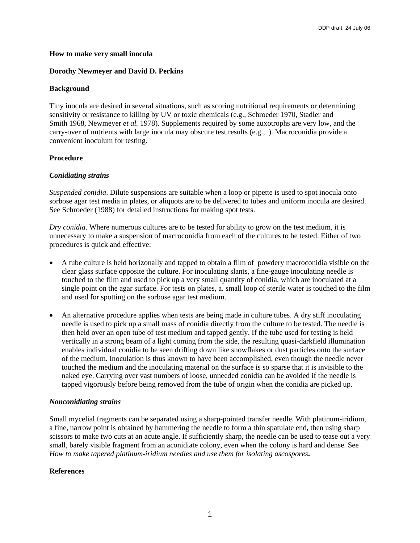### **How to make very small inocula**

### **Dorothy Newmeyer and David D. Perkins**

### **Background**

Tiny inocula are desired in several situations, such as scoring nutritional requirements or determining sensitivity or resistance to killing by UV or toxic chemicals (e.g., Schroeder 1970, Stadler and Smith 1968, Newmeyer *et al.* 1978). Supplements required by some auxotrophs are very low, and the carry-over of nutrients with large inocula may obscure test results (e.g., ). Macroconidia provide a convenient inoculum for testing.

# **Procedure**

### *Conidiating strains*

*Suspended conidia*. Dilute suspensions are suitable when a loop or pipette is used to spot inocula onto sorbose agar test media in plates, or aliquots are to be delivered to tubes and uniform inocula are desired. See Schroeder (1988) for detailed instructions for making spot tests.

*Dry conidia*. Where numerous cultures are to be tested for ability to grow on the test medium, it is unnecessary to make a suspension of macroconidia from each of the cultures to be tested. Either of two procedures is quick and effective:

- A tube culture is held horizonally and tapped to obtain a film of powdery macroconidia visible on the clear glass surface opposite the culture. For inoculating slants, a fine-gauge inoculating needle is touched to the film and used to pick up a very small quantity of conidia, which are inoculated at a single point on the agar surface. For tests on plates, a. small loop of sterile water is touched to the film and used for spotting on the sorbose agar test medium.
- An alternative procedure applies when tests are being made in culture tubes. A dry stiff inoculating needle is used to pick up a small mass of conidia directly from the culture to be tested. The needle is then held over an open tube of test medium and tapped gently. If the tube used for testing is held vertically in a strong beam of a light coming from the side, the resulting quasi-darkfield illumination enables individual conidia to be seen drifting down like snowflakes or dust particles onto the surface of the medium. Inoculation is thus known to have been accomplished, even though the needle never touched the medium and the inoculating material on the surface is so sparse that it is invisible to the naked eye. Carrying over vast numbers of loose, unneeded conidia can be avoided if the needle is tapped vigorously before being removed from the tube of origin when the conidia are picked up.

### *Nonconidiating strains*

Small mycelial fragments can be separated using a sharp-pointed transfer needle. With platinum-iridium, a fine, narrow point is obtained by hammering the needle to form a thin spatulate end, then using sharp scissors to make two cuts at an acute angle. If sufficiently sharp, the needle can be used to tease out a very small, barely visible fragment from an aconidiate colony, even when the colony is hard and dense. See *How to make tapered platinum-iridium needles and use them for isolating ascospores***.** 

# **References**